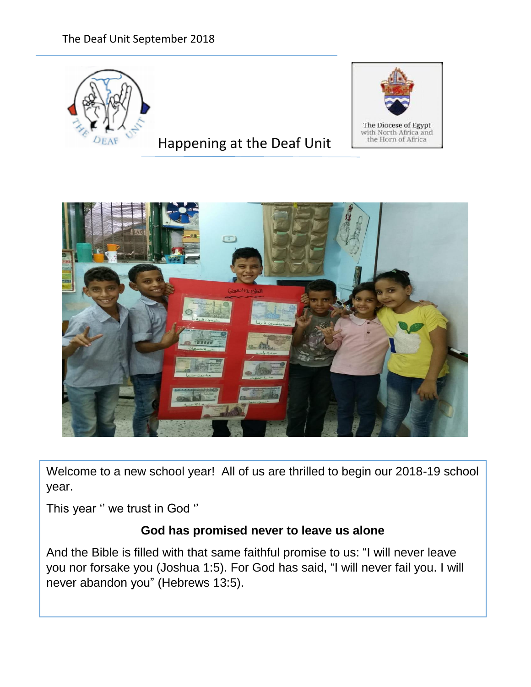# The Deaf Unit September 2018



# Happening at the Deaf Unit





Welcome to a new school year! All of us are thrilled to begin our 2018-19 school year.

This year '' we trust in God ''

# **God has promised never to leave us alone**

And the Bible is filled with that same faithful promise to us: "I will never leave you nor forsake you (Joshua 1:5). For God has said, "I will never fail you. I will never abandon you" (Hebrews 13:5).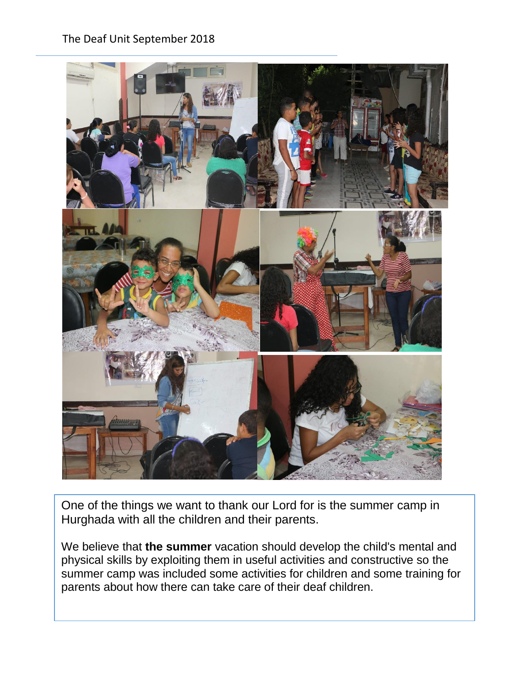#### The Deaf Unit September 2018



One of the things we want to thank our Lord for is the summer camp in Hurghada with all the children and their parents.

We believe that **the summer** vacation should develop the child's mental and physical skills by exploiting them in useful activities and constructive so the summer camp was included some activities for children and some training for parents about how there can take care of their deaf children.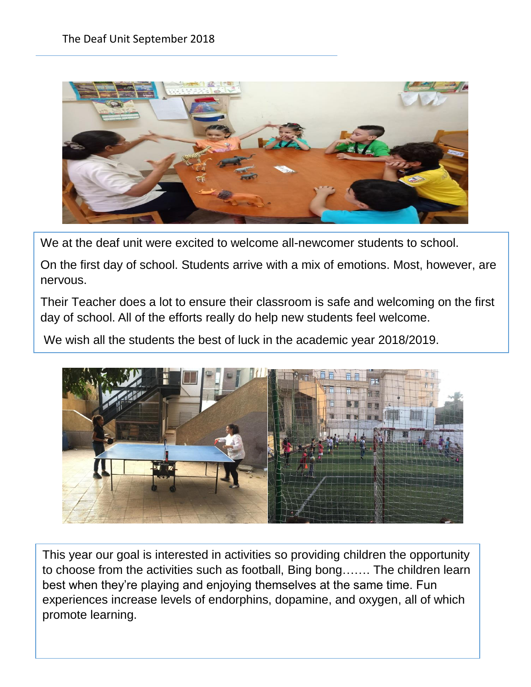

We at the deaf unit were excited to welcome all-newcomer students to school.

On the first day of school. Students arrive with a mix of emotions. Most, however, are nervous.

Their Teacher does a lot to ensure their classroom is safe and welcoming on the first day of school. All of the efforts really do help new students feel welcome.

We wish all the students the best of luck in the academic year 2018/2019.



This year our goal is interested in activities so providing children the opportunity to choose from the activities such as football, Bing bong……. The children learn best when they're playing and enjoying themselves at the same time. Fun experiences increase levels of endorphins, dopamine, and oxygen, all of which promote learning.